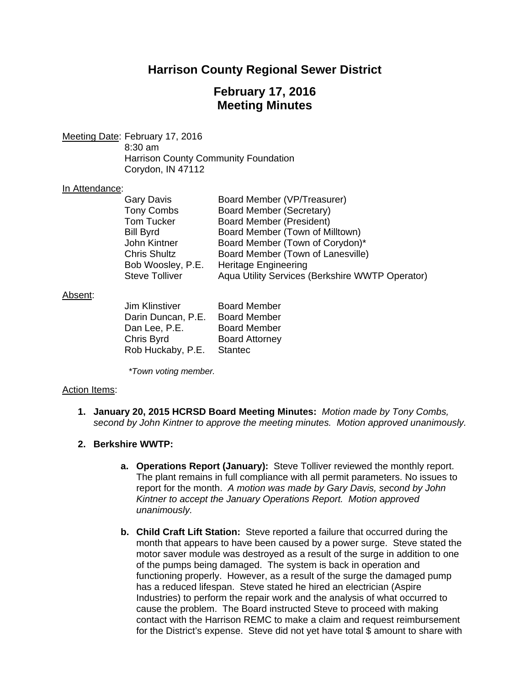# **Harrison County Regional Sewer District**

# **February 17, 2016 Meeting Minutes**

Meeting Date: February 17, 2016 8:30 am Harrison County Community Foundation Corydon, IN 47112

#### In Attendance:

| <b>Gary Davis</b>     | Board Member (VP/Treasurer)                     |
|-----------------------|-------------------------------------------------|
| <b>Tony Combs</b>     | Board Member (Secretary)                        |
| <b>Tom Tucker</b>     | <b>Board Member (President)</b>                 |
| <b>Bill Byrd</b>      | Board Member (Town of Milltown)                 |
| John Kintner          | Board Member (Town of Corydon)*                 |
| <b>Chris Shultz</b>   | Board Member (Town of Lanesville)               |
| Bob Woosley, P.E.     | <b>Heritage Engineering</b>                     |
| <b>Steve Tolliver</b> | Aqua Utility Services (Berkshire WWTP Operator) |

#### Absent:

| Jim Klinstiver     | <b>Board Member</b>   |
|--------------------|-----------------------|
| Darin Duncan, P.E. | <b>Board Member</b>   |
| Dan Lee, P.E.      | <b>Board Member</b>   |
| Chris Byrd         | <b>Board Attorney</b> |
| Rob Huckaby, P.E.  | <b>Stantec</b>        |

*\*Town voting member.* 

### Action Items:

**1. January 20, 2015 HCRSD Board Meeting Minutes:** *Motion made by Tony Combs, second by John Kintner to approve the meeting minutes. Motion approved unanimously.*

### **2. Berkshire WWTP:**

- **a. Operations Report (January):** Steve Tolliver reviewed the monthly report. The plant remains in full compliance with all permit parameters. No issues to report for the month. *A motion was made by Gary Davis, second by John Kintner to accept the January Operations Report. Motion approved unanimously.*
- **b. Child Craft Lift Station:** Steve reported a failure that occurred during the month that appears to have been caused by a power surge. Steve stated the motor saver module was destroyed as a result of the surge in addition to one of the pumps being damaged. The system is back in operation and functioning properly. However, as a result of the surge the damaged pump has a reduced lifespan. Steve stated he hired an electrician (Aspire Industries) to perform the repair work and the analysis of what occurred to cause the problem. The Board instructed Steve to proceed with making contact with the Harrison REMC to make a claim and request reimbursement for the District's expense. Steve did not yet have total \$ amount to share with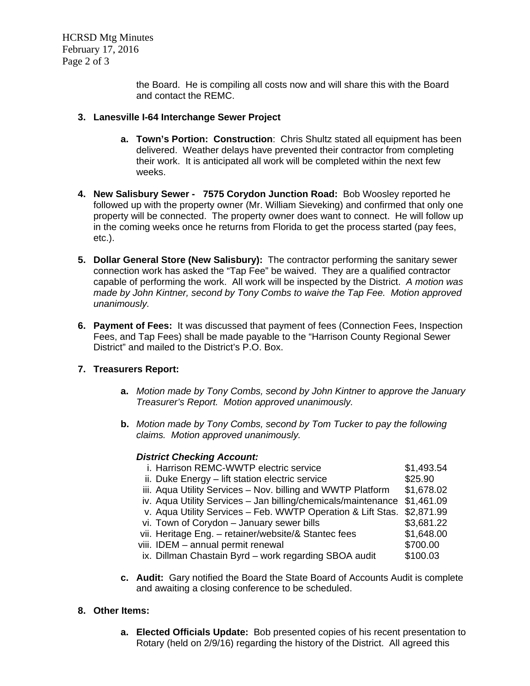HCRSD Mtg Minutes February 17, 2016 Page 2 of 3

> the Board. He is compiling all costs now and will share this with the Board and contact the REMC.

## **3. Lanesville I-64 Interchange Sewer Project**

- **a. Town's Portion: Construction**: Chris Shultz stated all equipment has been delivered. Weather delays have prevented their contractor from completing their work. It is anticipated all work will be completed within the next few weeks.
- **4. New Salisbury Sewer 7575 Corydon Junction Road:** Bob Woosley reported he followed up with the property owner (Mr. William Sieveking) and confirmed that only one property will be connected. The property owner does want to connect. He will follow up in the coming weeks once he returns from Florida to get the process started (pay fees, etc.).
- **5. Dollar General Store (New Salisbury):** The contractor performing the sanitary sewer connection work has asked the "Tap Fee" be waived. They are a qualified contractor capable of performing the work. All work will be inspected by the District. *A motion was made by John Kintner, second by Tony Combs to waive the Tap Fee. Motion approved unanimously.*
- **6. Payment of Fees:** It was discussed that payment of fees (Connection Fees, Inspection Fees, and Tap Fees) shall be made payable to the "Harrison County Regional Sewer District" and mailed to the District's P.O. Box.

## **7. Treasurers Report:**

- **a.** *Motion made by Tony Combs, second by John Kintner to approve the January Treasurer's Report. Motion approved unanimously.*
- **b.** *Motion made by Tony Combs, second by Tom Tucker to pay the following claims. Motion approved unanimously.*

### *District Checking Account:*

| i. Harrison REMC-WWTP electric service                        | \$1,493.54 |
|---------------------------------------------------------------|------------|
| ii. Duke Energy - lift station electric service               | \$25.90    |
| iii. Aqua Utility Services - Nov. billing and WWTP Platform   | \$1,678.02 |
| iv. Aqua Utility Services - Jan billing/chemicals/maintenance | \$1,461.09 |
| v. Aqua Utility Services - Feb. WWTP Operation & Lift Stas.   | \$2,871.99 |
| vi. Town of Corydon - January sewer bills                     | \$3,681.22 |
| vii. Heritage Eng. - retainer/website/& Stantec fees          | \$1,648.00 |
| viii. IDEM - annual permit renewal                            | \$700.00   |
| ix. Dillman Chastain Byrd - work regarding SBOA audit         | \$100.03   |
|                                                               |            |

**c. Audit:** Gary notified the Board the State Board of Accounts Audit is complete and awaiting a closing conference to be scheduled.

### **8. Other Items:**

**a. Elected Officials Update:** Bob presented copies of his recent presentation to Rotary (held on 2/9/16) regarding the history of the District. All agreed this